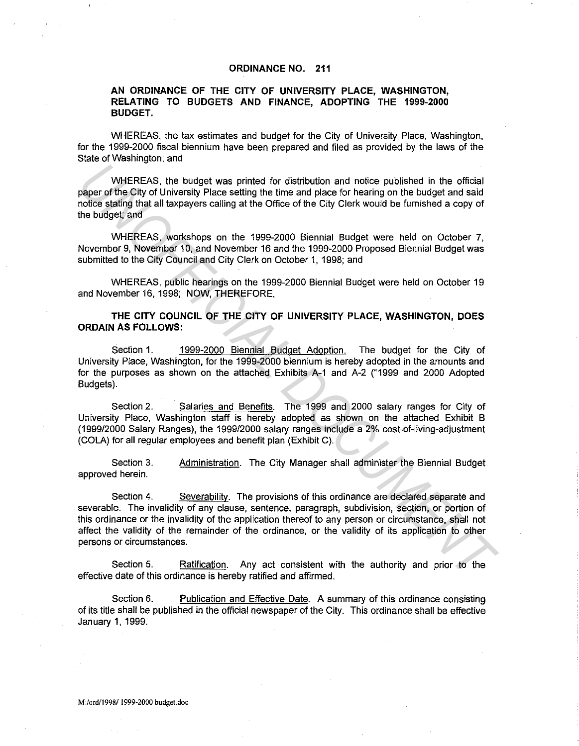#### **ORDINANCE NO. 211**

#### **AN ORDINANCE OF THE CITY OF UNIVERSITY PLACE, WASHINGTON, RELATING TO BUDGETS AND FINANCE, ADOPTING THE 1999-2000 BUDGET.**

WHEREAS, the tax estimates and budget for the City of University Place, Washington, for the 1999-2000 fiscal biennium have been prepared and filed as provided by the laws of the State of Washington; and

WHEREAS, the budget was printed for distribution and notice published in the official paper of the City of University Place setting the time and place for hearing on the budget and said notice stating that all taxpayers calling at the Office of the City Clerk would be furnished a copy of the budget; and

WHEREAS, workshops on the 1999-2000 Biennial Budget were held on October 7, November 9, November 10, and November 16 and the 1999-2000 Proposed Biennial Budget was submitted to the City Council and City Clerk on October 1, 1998; and

WHEREAS, public hearings on the 1999-2000 Biennial Budget were held on October 19 and November 16, 1998; NOW, THEREFORE,

**THE CITY COUNCIL OF THE CITY OF UNIVERSITY PLACE, WASHINGTON, DOES ORDAIN AS FOLLOWS:** 

Section 1. 1999-2000 Biennial Budget Adoption. The budget for the City of University Place, Washington, for the 1999-2000 biennium is hereby adopted in the amounts and for the purposes as shown on the attached Exhibits A-1 and A-2 ("1999 and 2000 Adopted Budgets).

Section 2. Salaries and Benefits. The 1999 and 2000 salary ranges for City of University Place, Washington staff is hereby adopted as shown on the attached Exhibit B (1999/2000 Salary Ranges), the 1999/2000 salary ranges include a 2% cost-of-living-adjustment (COLA) for all regular employees and benefit plan (Exhibit C).

Section 3. approved herein. Administration. The City Manager shall administer the Biennial Budget

Section 4. Severability. The provisions of this ordinance are declared separate and severable. The invalidity of any clause, sentence, paragraph, subdivision, section, or portion of this ordinance or the invalidity of the application thereof to any person or circumstance, shall not affect the validity of the remainder of the ordinance, or the validity of its application to other persons or circumstances. WHEREAS, the budget was printed for distribution and noise published in the official<br>paper of the Gilty of University Place setting the time and place for hearing on the budget and<br>choice stating that all taxpayers calling

Section 5. Ratification. Any act consistent with the authority and prior to the effective date of this ordinance is hereby ratified and affirmed.

Section 6. Publication and Effective Date. A summary of this ordinance consisting of its title shall be published in the official newspaper of the City. This ordinance shall be effective January 1, 1999.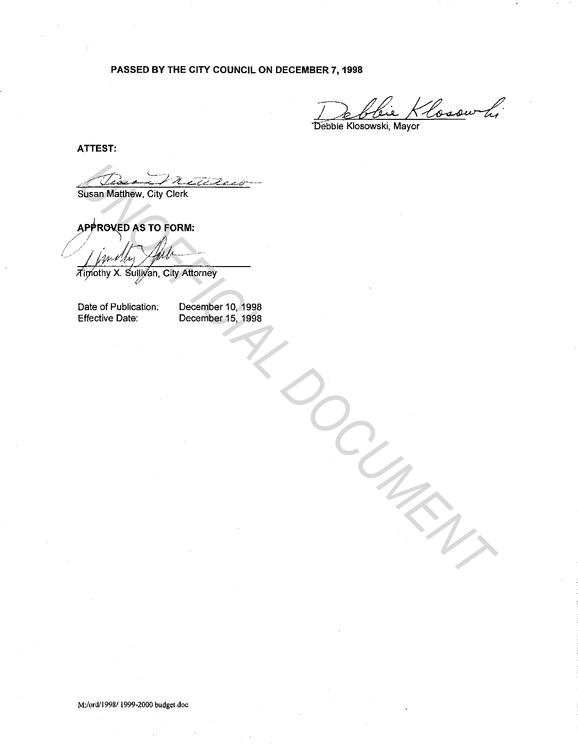# **PASSED BY THE CITY COUNCIL ON DECEMBER 7, 1998**

Klosow hi

Debbie Klosowski, Mayor

**ATTEST:** 

**Susan Mauthew, City Clerk**<br>
Approximation AS TO FORM:<br>
Approximy X. Statistica, City Attorney<br>
Date of Publication: December 10, 1998<br>
Effective Date: December 15, 1998<br>
Effective Date: December 15, 1998

Date of Publication: Effective Date:

December 10, 1998 December 15, 1998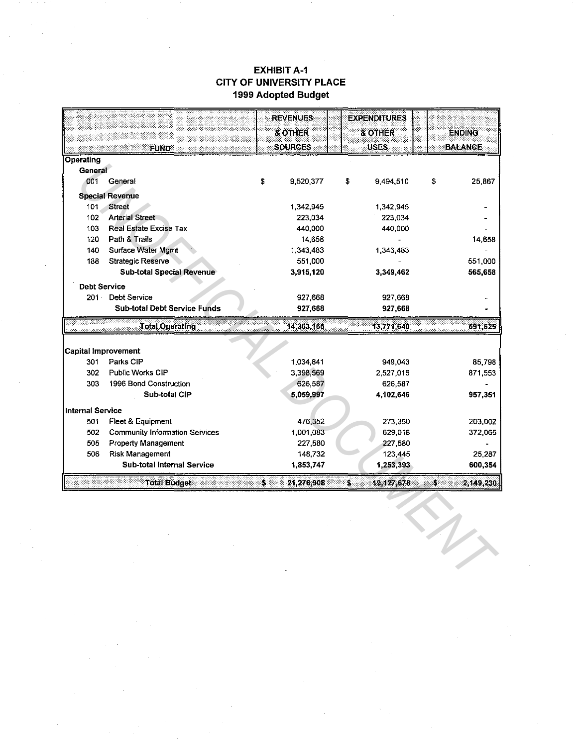## **EXHIBIT A-1 CITY OF UNIVERSITY PLACE** 1999 Adopted Budget

|                            |                                       | <b>REVENUES</b>  | <b>EXPENDITURES</b> |               |                |
|----------------------------|---------------------------------------|------------------|---------------------|---------------|----------------|
|                            |                                       | & OTHER          | & OTHER             |               | <b>ENDING</b>  |
|                            | <b>FUND</b>                           | <b>SOURCES</b>   | <b>USES</b>         |               | <b>BALANCE</b> |
| Operating                  |                                       |                  |                     |               |                |
| General                    |                                       |                  |                     |               |                |
| 001                        | General                               | \$<br>9,520,377  | \$<br>9,494,510     | \$            | 25,867         |
|                            | <b>Special Revenue</b>                |                  |                     |               |                |
| 101                        | <b>Street</b>                         | 1,342.945        | 1.342.945           |               |                |
| 102                        | <b>Arterial Street</b>                | 223.034          | 223,034             |               |                |
| 103                        | <b>Real Estate Excise Tax</b>         | 440,000          | 440,000             |               |                |
| 120                        | Path & Trails                         | 14 658           |                     |               | 14,658         |
| 140                        | Surface Water Mgmt                    | 1,343,483        | 1.343.483           |               |                |
| 188                        | <b>Strategic Reserve</b>              | 551,000          |                     |               | 551,000        |
|                            | <b>Sub-total Special Revenue</b>      | 3,915,120        | 3,349,462           |               | 565,658        |
| <b>Debt Service</b>        |                                       |                  |                     |               |                |
|                            | 201 Debt Service                      | 927 668          | 927,668             |               |                |
|                            | <b>Sub-total Debt Service Funds</b>   | 927,668          | 927,668             |               |                |
|                            | <b>Total Operating</b>                | 14,363,165       | 13,771,640          |               | 591,525        |
|                            |                                       |                  |                     |               |                |
| <b>Capital Improvement</b> |                                       |                  |                     |               |                |
| 301                        | Parks CIP                             | 1,034,841        | 949,043             |               | 85,798         |
| 302                        | Public Works CIP                      | 3,398.569        | 2,527,016           |               | 871.553        |
| 303                        | 1996 Bond Construction                | 626,587          | 626,587             |               |                |
|                            | Sub-total CIP                         | 5,059,997        | 4,102,646           |               | 957,351        |
| <b>Internal Service</b>    |                                       |                  |                     |               |                |
| 501                        | Fleet & Equipment                     | 476,352          | 273,350             |               | 203,002        |
| 502                        | <b>Community Information Services</b> | 1,001,083        | 629,018             |               | 372,065        |
| 505                        | <b>Property Management</b>            | 227,580          | 227,580             |               |                |
| 506                        | Risk Management                       | 148,732          | 123,445             |               | 25,287         |
|                            | <b>Sub-total Internal Service</b>     | 1,853,747        | 1,253,393           |               | 600,354        |
|                            | <b>Total Budget</b>                   | \$<br>21,276.908 | Š<br>19,127,678     | $\mathcal{L}$ | 2,149,230      |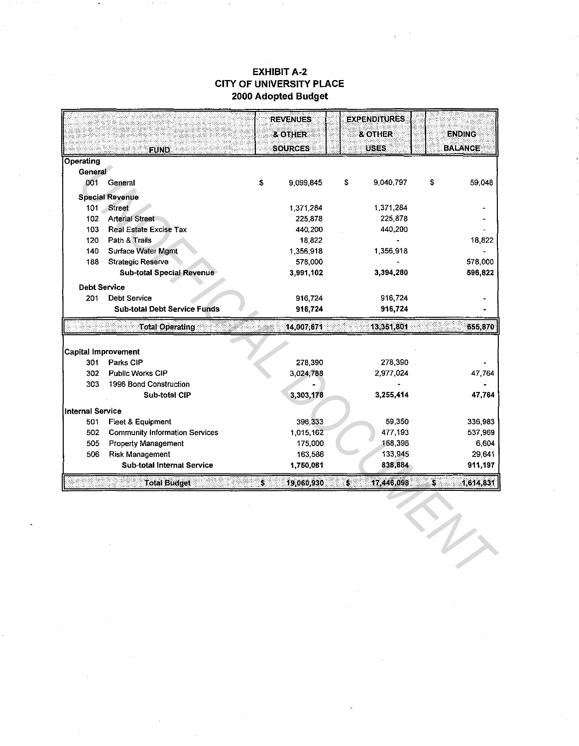## **EXHIBIT A-2 CITY OF UNIVERSITY PLACE** 2000 Adopted Budget

|                            |                                       | <b>REVENUES</b>  | <b>EXPENDITURES</b> |                 |
|----------------------------|---------------------------------------|------------------|---------------------|-----------------|
|                            |                                       | & OTHER          | <b>&amp; OTHER</b>  | <b>ENDING</b>   |
|                            | <b>FUND</b>                           | <b>SOURCES</b>   | <b>USES</b>         | <b>BALANCE</b>  |
| <b>Operating</b>           |                                       |                  |                     |                 |
| General                    |                                       |                  |                     |                 |
| 001                        | General                               | \$<br>9.099,845  | s.<br>9,040,797     | \$<br>59,048    |
|                            | <b>Special Revenue</b>                |                  |                     |                 |
| 101                        | Street                                | 1,371,284        | 1,371,284           |                 |
| 102                        | <b>Arterial Street</b>                | 225,878          | 225,878             |                 |
| 103                        | <b>Real Estate Excise Tax</b>         | 440,200          | 440,200             |                 |
| 120                        | Path & Trails                         | 18,822           |                     | 18,822          |
| 140                        | <b>Surface Water Mgmt</b>             | 1,356,918        | 1,356,918           |                 |
| 188                        | Strategic Reserve                     | 578,000          |                     | 578,000         |
|                            | <b>Sub-total Special Revenue</b>      | 3,991,102        | 3,394,280           | 596,822         |
| <b>Debt Service</b>        |                                       |                  |                     |                 |
| 201                        | <b>Debt Service</b>                   | 916,724          | 916,724             |                 |
|                            | <b>Sub-total Debt Service Funds</b>   | 916,724          | 916,724             |                 |
|                            | <b>Total Operating</b>                | 14,007,671       | 13,351,801          | 655,870         |
| <b>Capital Improvement</b> |                                       |                  |                     |                 |
| 301                        | Parks CIP                             | 278,390          | 278,390             |                 |
| 302                        | Public Works CIP                      | 3,024,788        | 2.977,024           | 47,764          |
| 303                        | 1996 Bond Construction                |                  |                     |                 |
|                            | Sub-total CIP                         | 3,303,178        | 3,255,414           | 47,764          |
| <b>Internal Service</b>    |                                       |                  |                     |                 |
| 501                        | Fleet & Equipment                     | 396.333          | 59,350              | 336,983         |
| 502                        | <b>Community Information Services</b> | 1,015,162        | 477,193             | 537,969         |
| 505                        | <b>Property Management</b>            | 175,000          | 168,396             | 6,604           |
| 506                        | <b>Risk Management</b>                | 163,586          | 133,945             | 29,641          |
|                            | <b>Sub-total Internal Service</b>     | 1,750,081        | 838,884             | 911,197         |
|                            | <b>Total Budget</b>                   | \$<br>19,060,930 | \$<br>17,446,098    | \$<br>1,614,831 |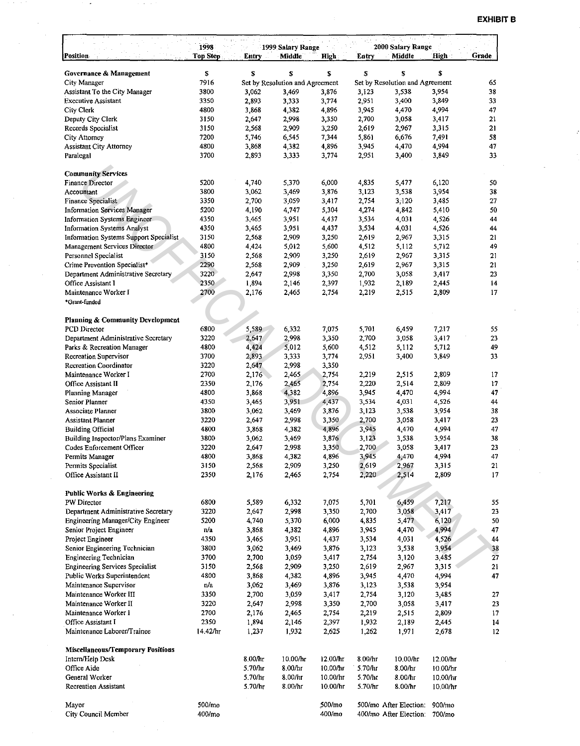| S<br>\$<br>S<br>S<br>S<br>S<br>Governance & Management<br>S<br>7916<br>City Manager<br>Set by Resolution and Agreement<br>65<br>Set by Resolution and Agreement<br>Assistant To the City Manager<br>3,876<br>3.538<br>3,954<br>38<br>3800<br>3,062<br>3,469<br>3,123<br><b>Executive Assistant</b><br>3350<br>2,893<br>3,333<br>3,774<br>2,951<br>3,400<br>3,849<br>33<br>3,868<br>4,896<br>3,945<br>4,470<br>4,994<br>47<br>City Clerk<br>4800<br>4,382<br>Deputy City Clerk<br>3150<br>2,647<br>2,998<br>3,350<br>2,700<br>3,058<br>3,417<br>21<br>Records Specialist<br>21<br>3150<br>2,568<br>2,909<br>3,250<br>2,619<br>2,967<br>3,315<br>7200<br>7,344<br>5,861<br>6,676<br>7,491<br>58<br><b>City Attorney</b><br>5,746<br>6,545<br><b>Assistant City Attorney</b><br>4800<br>4,382<br>4,896<br>3,945<br>4,470<br>4,994<br>47<br>3,868<br>3700<br>2,951<br>3,400<br>33<br>Paralegal<br>2,893<br>3,333<br>3,774<br>3,849<br><b>Community Services</b><br>5200<br>6,000<br>4,835<br>5,477<br>6,120<br><b>Finance Director</b><br>4,740<br>5,370<br>50<br>3,062<br>3,876<br>3,123<br>3,538<br>3800<br>3,469<br>3,954<br>38<br>Accountant<br>3350<br>2,700<br>3,059<br>2,754<br>3,120<br>27<br>Finance Specialist<br>3,417<br>3,485<br>5200<br>4.190<br>5,304<br>4,274<br>4,842<br>50<br><b>Information Services Manager</b><br>4,747<br>5,410<br><b>Information Systems Engineer</b><br>4350<br>3,465<br>3,951<br>4,437<br>3,534<br>4,031<br>4,526<br>44<br>3,534<br><b>Information Systems Analyst</b><br>4350<br>3,465<br>3,951<br>4,437<br>4,031<br>4,526<br>44<br>Information Systems Support Specialist<br>3150<br>2.568<br>2,909<br>3,250<br>2.619<br>2,967<br>3,315<br>21<br>5,600<br>4.512<br>Management Services Director<br>4800<br>4,424<br>5,012<br>5,112<br>5,712<br>49<br>Personnel Specialist<br>3150<br>2,568<br>2,909<br>3,250<br>2,619<br>2,967<br>3,315<br>21<br>Crime Prevention Specialist*<br>2290<br>3,250<br>2,619<br>21<br>2,568<br>2,909<br>2,967<br>3,315<br>3220<br>Department Administrative Secretary<br>2,647<br>2,998<br>3,350<br>2,700<br>3,058<br>3,417<br>23<br>2350<br>Office Assistant I<br>1,932<br>2,189<br>14<br>1,894<br>2,146<br>2,397<br>2,445<br>2700<br>2,176<br>2,754<br>2,219<br>2,515<br>17<br>Maintenance Worker I<br>2,465<br>2,809<br>*Grant-funded<br><b>Planning &amp; Community Development</b><br>6800<br>7,075<br>6,459<br>PCD Director<br>5,589<br>6,332<br>5,701<br>7,217<br>55<br>Department Administrative Secretary<br>3220<br>2,647<br>3,350<br>2.700<br>2,998<br>3,058<br>3,417<br>23<br>Parks & Recreation Manager<br>4800<br>4,424<br>5,012<br>5,600<br>4,512<br>5,712<br>49<br>5,112<br>2,893<br><b>Recreation Supervisor</b><br>3700<br>3,333<br>3,774<br>2,951<br>3,400<br>3,849<br>33<br>2,647<br>Recreation Coordinator<br>3220<br>2,998<br>3,350<br>Maintenance Worker I<br>2700<br>2,176<br>2,465<br>2,754<br>2.219<br>2,515<br>2,809<br>17<br>2,754<br>2,220<br>2350<br>2.176<br>2,465<br>2,514<br>2,809<br>17<br>Office Assistant II<br>47<br>4800<br>4,382<br>4,896<br>3,945<br>4,470<br>4,994<br>Planning Manager<br>3.868<br>3,951<br>4,437<br>3,534<br>44<br>Senior Planner<br>4350<br>3,465<br>4,031<br>4,526<br>3,123<br>38<br>Associate Planner<br>3800<br>3,062<br>3,469<br>3,876<br>3,538<br>3,954<br>2,998<br>3,350<br>2,700<br>3,417<br>23<br>Assistant Planner<br>3220<br>2,647<br>3,058<br>4,896<br>3,945<br>4,994<br>47<br><b>Building Official</b><br>4800<br>3,868<br>4,382<br>4,470<br>Building Inspector/Plans Examiner<br>3800<br>3,876<br>3,123<br>38<br>3,062<br>3,469<br>3,538<br>3,954<br>3,350<br>2,700<br>23<br>Codes Enforcement Officer<br>3220<br>2,647<br>2,998<br>3,058<br>3,417<br>Permits Manager<br>4800<br>3,868<br>4,382<br>4,896<br>3,945<br>4,470<br>4,994<br>47<br>Permits Specialist<br>3150<br>2,909<br>2,619<br>3,315<br>21<br>2,568<br>3,250<br>2,967<br>2350<br>2,220<br>2,514<br>2,809<br>17<br>Office Assistant II<br>2,176<br>2,465<br>2,754<br>Public Works & Engineering<br>6800<br>5,589<br>5,701<br>6,459<br>PW Director<br>6,332<br>7,075<br>7,217<br>55<br>3220<br>3,417<br>Department Administrative Secretary<br>2,647<br>2,998<br>3,350<br>2,700<br>3,058<br>23<br>5200<br>4,835<br>50<br>Engineering Manager/City Engineer<br>4.740<br>5,370<br>6,000<br>5,477<br>6,120<br>4,994<br>Senior Project Engineer<br>4,382<br>4,896<br>3,945<br>4,470<br>47<br>n/a<br>3,868<br>Project Engineer<br>4350<br>3,951<br>4,437<br>3,534<br>4,031<br>4,526<br>44<br>3,465<br>3800<br>3,062<br>3,469<br>3,876<br>3,123<br>3,538<br>3,954<br>38<br>Senior Engineering Technician<br><b>Engineering Technician</b><br>3700<br>2,700<br>3,059<br>3,417<br>2,754<br>3,120<br>3,485<br>27<br>2,909<br><b>Engineering Services Specialist</b><br>3150<br>2,568<br>3,250<br>2,619<br>2,967<br>3,315<br>21<br>4800<br>Public Works Superintendent<br>3,868<br>4,382<br>4,896<br>3,945<br>4,470<br>4,994<br>47<br>Maintenance Supervisor<br>n/a<br>3,062<br>3,876<br>3,123<br>3,954<br>3,469<br>3,538<br>Maintenance Worker III<br>3350<br>3,059<br>3,417<br>2,754<br>2,700<br>3,120<br>3,485<br>27<br>Maintenance Worker II<br>3220<br>2,647<br>2,998<br>3,350<br>2,700<br>3,058<br>23<br>3,417<br>Maintenance Worker I<br>2700<br>2,176<br>2,219<br>2,465<br>2,754<br>2,515<br>2,809<br>17<br>2350<br>1,894<br>2,146<br>2,397<br>1,932<br>Office Assistant I<br>2,189<br>2,445<br>14<br>Maintenance Laborer/Trainee<br>14.42/hr<br>1,237<br>1,932<br>2,625<br>1,262<br>1,971<br>2,678<br>12<br>Miscellaneous/Temporary Positions<br>8.00/hr<br>10.00/hr<br>12.00/hr<br>8.00/hr<br>10.00/hr<br>Intern/Help Desk<br>12.00/hr<br>Office Aide<br>5.70/hr<br>8.00/hr<br>10.00/hr<br>5.70/hr<br>8.00/hr<br>10.00/hr<br>General Worker<br>5.70/hr<br>8.00/hr<br>10.00/hr<br>5.70/hr<br>8.00/hr<br>10.00/hr<br>5.70/hr<br>8.00/hr<br>10.00/hr<br>5.70/hr<br>8.00/hr<br>10.00/hr<br><b>Recreation Assistant</b><br>500/mo<br>500/mo<br>500/mo After Election:<br>900/mo<br>Mayor<br>City Council Member<br>400/m <sub>o</sub><br>400/mo After Election:<br>400/mo<br>700/mo | Position | 1998<br><b>Top Step</b> | Entry | 1999 Salary Range<br>Middle | High | Entry | 2000 Salary Range<br>Middle | High | Grade |
|--------------------------------------------------------------------------------------------------------------------------------------------------------------------------------------------------------------------------------------------------------------------------------------------------------------------------------------------------------------------------------------------------------------------------------------------------------------------------------------------------------------------------------------------------------------------------------------------------------------------------------------------------------------------------------------------------------------------------------------------------------------------------------------------------------------------------------------------------------------------------------------------------------------------------------------------------------------------------------------------------------------------------------------------------------------------------------------------------------------------------------------------------------------------------------------------------------------------------------------------------------------------------------------------------------------------------------------------------------------------------------------------------------------------------------------------------------------------------------------------------------------------------------------------------------------------------------------------------------------------------------------------------------------------------------------------------------------------------------------------------------------------------------------------------------------------------------------------------------------------------------------------------------------------------------------------------------------------------------------------------------------------------------------------------------------------------------------------------------------------------------------------------------------------------------------------------------------------------------------------------------------------------------------------------------------------------------------------------------------------------------------------------------------------------------------------------------------------------------------------------------------------------------------------------------------------------------------------------------------------------------------------------------------------------------------------------------------------------------------------------------------------------------------------------------------------------------------------------------------------------------------------------------------------------------------------------------------------------------------------------------------------------------------------------------------------------------------------------------------------------------------------------------------------------------------------------------------------------------------------------------------------------------------------------------------------------------------------------------------------------------------------------------------------------------------------------------------------------------------------------------------------------------------------------------------------------------------------------------------------------------------------------------------------------------------------------------------------------------------------------------------------------------------------------------------------------------------------------------------------------------------------------------------------------------------------------------------------------------------------------------------------------------------------------------------------------------------------------------------------------------------------------------------------------------------------------------------------------------------------------------------------------------------------------------------------------------------------------------------------------------------------------------------------------------------------------------------------------------------------------------------------------------------------------------------------------------------------------------------------------------------------------------------------------------------------------------------------------------------------------------------------------------------------------------------------------------------------------------------------------------------------------------------------------------------------------------------------------------------------------------------------------------------------------------------------------------------------------------------------------------------------------------------------------------------------------------------------------------------------------------------------------------------------------------------------------------------------------------------------------------------------------------------------------------------------------------------------------------------------------------------------------------------------------------------------------------------------------------------------------------------------------------------------------------------------------------------------------------------------------------------------------------------------------------------------------------------------------------------------------------------------------------------------------------------------------------------------------------------------------------------------------------------------------------------------------------------|----------|-------------------------|-------|-----------------------------|------|-------|-----------------------------|------|-------|
|                                                                                                                                                                                                                                                                                                                                                                                                                                                                                                                                                                                                                                                                                                                                                                                                                                                                                                                                                                                                                                                                                                                                                                                                                                                                                                                                                                                                                                                                                                                                                                                                                                                                                                                                                                                                                                                                                                                                                                                                                                                                                                                                                                                                                                                                                                                                                                                                                                                                                                                                                                                                                                                                                                                                                                                                                                                                                                                                                                                                                                                                                                                                                                                                                                                                                                                                                                                                                                                                                                                                                                                                                                                                                                                                                                                                                                                                                                                                                                                                                                                                                                                                                                                                                                                                                                                                                                                                                                                                                                                                                                                                                                                                                                                                                                                                                                                                                                                                                                                                                                                                                                                                                                                                                                                                                                                                                                                                                                                                                                                                                                                                                                                                                                                                                                                                                                                                                                                                                                                                                                                                                      |          |                         |       |                             |      |       |                             |      |       |
|                                                                                                                                                                                                                                                                                                                                                                                                                                                                                                                                                                                                                                                                                                                                                                                                                                                                                                                                                                                                                                                                                                                                                                                                                                                                                                                                                                                                                                                                                                                                                                                                                                                                                                                                                                                                                                                                                                                                                                                                                                                                                                                                                                                                                                                                                                                                                                                                                                                                                                                                                                                                                                                                                                                                                                                                                                                                                                                                                                                                                                                                                                                                                                                                                                                                                                                                                                                                                                                                                                                                                                                                                                                                                                                                                                                                                                                                                                                                                                                                                                                                                                                                                                                                                                                                                                                                                                                                                                                                                                                                                                                                                                                                                                                                                                                                                                                                                                                                                                                                                                                                                                                                                                                                                                                                                                                                                                                                                                                                                                                                                                                                                                                                                                                                                                                                                                                                                                                                                                                                                                                                                      |          |                         |       |                             |      |       |                             |      |       |
|                                                                                                                                                                                                                                                                                                                                                                                                                                                                                                                                                                                                                                                                                                                                                                                                                                                                                                                                                                                                                                                                                                                                                                                                                                                                                                                                                                                                                                                                                                                                                                                                                                                                                                                                                                                                                                                                                                                                                                                                                                                                                                                                                                                                                                                                                                                                                                                                                                                                                                                                                                                                                                                                                                                                                                                                                                                                                                                                                                                                                                                                                                                                                                                                                                                                                                                                                                                                                                                                                                                                                                                                                                                                                                                                                                                                                                                                                                                                                                                                                                                                                                                                                                                                                                                                                                                                                                                                                                                                                                                                                                                                                                                                                                                                                                                                                                                                                                                                                                                                                                                                                                                                                                                                                                                                                                                                                                                                                                                                                                                                                                                                                                                                                                                                                                                                                                                                                                                                                                                                                                                                                      |          |                         |       |                             |      |       |                             |      |       |
|                                                                                                                                                                                                                                                                                                                                                                                                                                                                                                                                                                                                                                                                                                                                                                                                                                                                                                                                                                                                                                                                                                                                                                                                                                                                                                                                                                                                                                                                                                                                                                                                                                                                                                                                                                                                                                                                                                                                                                                                                                                                                                                                                                                                                                                                                                                                                                                                                                                                                                                                                                                                                                                                                                                                                                                                                                                                                                                                                                                                                                                                                                                                                                                                                                                                                                                                                                                                                                                                                                                                                                                                                                                                                                                                                                                                                                                                                                                                                                                                                                                                                                                                                                                                                                                                                                                                                                                                                                                                                                                                                                                                                                                                                                                                                                                                                                                                                                                                                                                                                                                                                                                                                                                                                                                                                                                                                                                                                                                                                                                                                                                                                                                                                                                                                                                                                                                                                                                                                                                                                                                                                      |          |                         |       |                             |      |       |                             |      |       |
|                                                                                                                                                                                                                                                                                                                                                                                                                                                                                                                                                                                                                                                                                                                                                                                                                                                                                                                                                                                                                                                                                                                                                                                                                                                                                                                                                                                                                                                                                                                                                                                                                                                                                                                                                                                                                                                                                                                                                                                                                                                                                                                                                                                                                                                                                                                                                                                                                                                                                                                                                                                                                                                                                                                                                                                                                                                                                                                                                                                                                                                                                                                                                                                                                                                                                                                                                                                                                                                                                                                                                                                                                                                                                                                                                                                                                                                                                                                                                                                                                                                                                                                                                                                                                                                                                                                                                                                                                                                                                                                                                                                                                                                                                                                                                                                                                                                                                                                                                                                                                                                                                                                                                                                                                                                                                                                                                                                                                                                                                                                                                                                                                                                                                                                                                                                                                                                                                                                                                                                                                                                                                      |          |                         |       |                             |      |       |                             |      |       |
|                                                                                                                                                                                                                                                                                                                                                                                                                                                                                                                                                                                                                                                                                                                                                                                                                                                                                                                                                                                                                                                                                                                                                                                                                                                                                                                                                                                                                                                                                                                                                                                                                                                                                                                                                                                                                                                                                                                                                                                                                                                                                                                                                                                                                                                                                                                                                                                                                                                                                                                                                                                                                                                                                                                                                                                                                                                                                                                                                                                                                                                                                                                                                                                                                                                                                                                                                                                                                                                                                                                                                                                                                                                                                                                                                                                                                                                                                                                                                                                                                                                                                                                                                                                                                                                                                                                                                                                                                                                                                                                                                                                                                                                                                                                                                                                                                                                                                                                                                                                                                                                                                                                                                                                                                                                                                                                                                                                                                                                                                                                                                                                                                                                                                                                                                                                                                                                                                                                                                                                                                                                                                      |          |                         |       |                             |      |       |                             |      |       |
|                                                                                                                                                                                                                                                                                                                                                                                                                                                                                                                                                                                                                                                                                                                                                                                                                                                                                                                                                                                                                                                                                                                                                                                                                                                                                                                                                                                                                                                                                                                                                                                                                                                                                                                                                                                                                                                                                                                                                                                                                                                                                                                                                                                                                                                                                                                                                                                                                                                                                                                                                                                                                                                                                                                                                                                                                                                                                                                                                                                                                                                                                                                                                                                                                                                                                                                                                                                                                                                                                                                                                                                                                                                                                                                                                                                                                                                                                                                                                                                                                                                                                                                                                                                                                                                                                                                                                                                                                                                                                                                                                                                                                                                                                                                                                                                                                                                                                                                                                                                                                                                                                                                                                                                                                                                                                                                                                                                                                                                                                                                                                                                                                                                                                                                                                                                                                                                                                                                                                                                                                                                                                      |          |                         |       |                             |      |       |                             |      |       |
|                                                                                                                                                                                                                                                                                                                                                                                                                                                                                                                                                                                                                                                                                                                                                                                                                                                                                                                                                                                                                                                                                                                                                                                                                                                                                                                                                                                                                                                                                                                                                                                                                                                                                                                                                                                                                                                                                                                                                                                                                                                                                                                                                                                                                                                                                                                                                                                                                                                                                                                                                                                                                                                                                                                                                                                                                                                                                                                                                                                                                                                                                                                                                                                                                                                                                                                                                                                                                                                                                                                                                                                                                                                                                                                                                                                                                                                                                                                                                                                                                                                                                                                                                                                                                                                                                                                                                                                                                                                                                                                                                                                                                                                                                                                                                                                                                                                                                                                                                                                                                                                                                                                                                                                                                                                                                                                                                                                                                                                                                                                                                                                                                                                                                                                                                                                                                                                                                                                                                                                                                                                                                      |          |                         |       |                             |      |       |                             |      |       |
|                                                                                                                                                                                                                                                                                                                                                                                                                                                                                                                                                                                                                                                                                                                                                                                                                                                                                                                                                                                                                                                                                                                                                                                                                                                                                                                                                                                                                                                                                                                                                                                                                                                                                                                                                                                                                                                                                                                                                                                                                                                                                                                                                                                                                                                                                                                                                                                                                                                                                                                                                                                                                                                                                                                                                                                                                                                                                                                                                                                                                                                                                                                                                                                                                                                                                                                                                                                                                                                                                                                                                                                                                                                                                                                                                                                                                                                                                                                                                                                                                                                                                                                                                                                                                                                                                                                                                                                                                                                                                                                                                                                                                                                                                                                                                                                                                                                                                                                                                                                                                                                                                                                                                                                                                                                                                                                                                                                                                                                                                                                                                                                                                                                                                                                                                                                                                                                                                                                                                                                                                                                                                      |          |                         |       |                             |      |       |                             |      |       |
|                                                                                                                                                                                                                                                                                                                                                                                                                                                                                                                                                                                                                                                                                                                                                                                                                                                                                                                                                                                                                                                                                                                                                                                                                                                                                                                                                                                                                                                                                                                                                                                                                                                                                                                                                                                                                                                                                                                                                                                                                                                                                                                                                                                                                                                                                                                                                                                                                                                                                                                                                                                                                                                                                                                                                                                                                                                                                                                                                                                                                                                                                                                                                                                                                                                                                                                                                                                                                                                                                                                                                                                                                                                                                                                                                                                                                                                                                                                                                                                                                                                                                                                                                                                                                                                                                                                                                                                                                                                                                                                                                                                                                                                                                                                                                                                                                                                                                                                                                                                                                                                                                                                                                                                                                                                                                                                                                                                                                                                                                                                                                                                                                                                                                                                                                                                                                                                                                                                                                                                                                                                                                      |          |                         |       |                             |      |       |                             |      |       |
|                                                                                                                                                                                                                                                                                                                                                                                                                                                                                                                                                                                                                                                                                                                                                                                                                                                                                                                                                                                                                                                                                                                                                                                                                                                                                                                                                                                                                                                                                                                                                                                                                                                                                                                                                                                                                                                                                                                                                                                                                                                                                                                                                                                                                                                                                                                                                                                                                                                                                                                                                                                                                                                                                                                                                                                                                                                                                                                                                                                                                                                                                                                                                                                                                                                                                                                                                                                                                                                                                                                                                                                                                                                                                                                                                                                                                                                                                                                                                                                                                                                                                                                                                                                                                                                                                                                                                                                                                                                                                                                                                                                                                                                                                                                                                                                                                                                                                                                                                                                                                                                                                                                                                                                                                                                                                                                                                                                                                                                                                                                                                                                                                                                                                                                                                                                                                                                                                                                                                                                                                                                                                      |          |                         |       |                             |      |       |                             |      |       |
|                                                                                                                                                                                                                                                                                                                                                                                                                                                                                                                                                                                                                                                                                                                                                                                                                                                                                                                                                                                                                                                                                                                                                                                                                                                                                                                                                                                                                                                                                                                                                                                                                                                                                                                                                                                                                                                                                                                                                                                                                                                                                                                                                                                                                                                                                                                                                                                                                                                                                                                                                                                                                                                                                                                                                                                                                                                                                                                                                                                                                                                                                                                                                                                                                                                                                                                                                                                                                                                                                                                                                                                                                                                                                                                                                                                                                                                                                                                                                                                                                                                                                                                                                                                                                                                                                                                                                                                                                                                                                                                                                                                                                                                                                                                                                                                                                                                                                                                                                                                                                                                                                                                                                                                                                                                                                                                                                                                                                                                                                                                                                                                                                                                                                                                                                                                                                                                                                                                                                                                                                                                                                      |          |                         |       |                             |      |       |                             |      |       |
|                                                                                                                                                                                                                                                                                                                                                                                                                                                                                                                                                                                                                                                                                                                                                                                                                                                                                                                                                                                                                                                                                                                                                                                                                                                                                                                                                                                                                                                                                                                                                                                                                                                                                                                                                                                                                                                                                                                                                                                                                                                                                                                                                                                                                                                                                                                                                                                                                                                                                                                                                                                                                                                                                                                                                                                                                                                                                                                                                                                                                                                                                                                                                                                                                                                                                                                                                                                                                                                                                                                                                                                                                                                                                                                                                                                                                                                                                                                                                                                                                                                                                                                                                                                                                                                                                                                                                                                                                                                                                                                                                                                                                                                                                                                                                                                                                                                                                                                                                                                                                                                                                                                                                                                                                                                                                                                                                                                                                                                                                                                                                                                                                                                                                                                                                                                                                                                                                                                                                                                                                                                                                      |          |                         |       |                             |      |       |                             |      |       |
|                                                                                                                                                                                                                                                                                                                                                                                                                                                                                                                                                                                                                                                                                                                                                                                                                                                                                                                                                                                                                                                                                                                                                                                                                                                                                                                                                                                                                                                                                                                                                                                                                                                                                                                                                                                                                                                                                                                                                                                                                                                                                                                                                                                                                                                                                                                                                                                                                                                                                                                                                                                                                                                                                                                                                                                                                                                                                                                                                                                                                                                                                                                                                                                                                                                                                                                                                                                                                                                                                                                                                                                                                                                                                                                                                                                                                                                                                                                                                                                                                                                                                                                                                                                                                                                                                                                                                                                                                                                                                                                                                                                                                                                                                                                                                                                                                                                                                                                                                                                                                                                                                                                                                                                                                                                                                                                                                                                                                                                                                                                                                                                                                                                                                                                                                                                                                                                                                                                                                                                                                                                                                      |          |                         |       |                             |      |       |                             |      |       |
|                                                                                                                                                                                                                                                                                                                                                                                                                                                                                                                                                                                                                                                                                                                                                                                                                                                                                                                                                                                                                                                                                                                                                                                                                                                                                                                                                                                                                                                                                                                                                                                                                                                                                                                                                                                                                                                                                                                                                                                                                                                                                                                                                                                                                                                                                                                                                                                                                                                                                                                                                                                                                                                                                                                                                                                                                                                                                                                                                                                                                                                                                                                                                                                                                                                                                                                                                                                                                                                                                                                                                                                                                                                                                                                                                                                                                                                                                                                                                                                                                                                                                                                                                                                                                                                                                                                                                                                                                                                                                                                                                                                                                                                                                                                                                                                                                                                                                                                                                                                                                                                                                                                                                                                                                                                                                                                                                                                                                                                                                                                                                                                                                                                                                                                                                                                                                                                                                                                                                                                                                                                                                      |          |                         |       |                             |      |       |                             |      |       |
|                                                                                                                                                                                                                                                                                                                                                                                                                                                                                                                                                                                                                                                                                                                                                                                                                                                                                                                                                                                                                                                                                                                                                                                                                                                                                                                                                                                                                                                                                                                                                                                                                                                                                                                                                                                                                                                                                                                                                                                                                                                                                                                                                                                                                                                                                                                                                                                                                                                                                                                                                                                                                                                                                                                                                                                                                                                                                                                                                                                                                                                                                                                                                                                                                                                                                                                                                                                                                                                                                                                                                                                                                                                                                                                                                                                                                                                                                                                                                                                                                                                                                                                                                                                                                                                                                                                                                                                                                                                                                                                                                                                                                                                                                                                                                                                                                                                                                                                                                                                                                                                                                                                                                                                                                                                                                                                                                                                                                                                                                                                                                                                                                                                                                                                                                                                                                                                                                                                                                                                                                                                                                      |          |                         |       |                             |      |       |                             |      |       |
|                                                                                                                                                                                                                                                                                                                                                                                                                                                                                                                                                                                                                                                                                                                                                                                                                                                                                                                                                                                                                                                                                                                                                                                                                                                                                                                                                                                                                                                                                                                                                                                                                                                                                                                                                                                                                                                                                                                                                                                                                                                                                                                                                                                                                                                                                                                                                                                                                                                                                                                                                                                                                                                                                                                                                                                                                                                                                                                                                                                                                                                                                                                                                                                                                                                                                                                                                                                                                                                                                                                                                                                                                                                                                                                                                                                                                                                                                                                                                                                                                                                                                                                                                                                                                                                                                                                                                                                                                                                                                                                                                                                                                                                                                                                                                                                                                                                                                                                                                                                                                                                                                                                                                                                                                                                                                                                                                                                                                                                                                                                                                                                                                                                                                                                                                                                                                                                                                                                                                                                                                                                                                      |          |                         |       |                             |      |       |                             |      |       |
|                                                                                                                                                                                                                                                                                                                                                                                                                                                                                                                                                                                                                                                                                                                                                                                                                                                                                                                                                                                                                                                                                                                                                                                                                                                                                                                                                                                                                                                                                                                                                                                                                                                                                                                                                                                                                                                                                                                                                                                                                                                                                                                                                                                                                                                                                                                                                                                                                                                                                                                                                                                                                                                                                                                                                                                                                                                                                                                                                                                                                                                                                                                                                                                                                                                                                                                                                                                                                                                                                                                                                                                                                                                                                                                                                                                                                                                                                                                                                                                                                                                                                                                                                                                                                                                                                                                                                                                                                                                                                                                                                                                                                                                                                                                                                                                                                                                                                                                                                                                                                                                                                                                                                                                                                                                                                                                                                                                                                                                                                                                                                                                                                                                                                                                                                                                                                                                                                                                                                                                                                                                                                      |          |                         |       |                             |      |       |                             |      |       |
|                                                                                                                                                                                                                                                                                                                                                                                                                                                                                                                                                                                                                                                                                                                                                                                                                                                                                                                                                                                                                                                                                                                                                                                                                                                                                                                                                                                                                                                                                                                                                                                                                                                                                                                                                                                                                                                                                                                                                                                                                                                                                                                                                                                                                                                                                                                                                                                                                                                                                                                                                                                                                                                                                                                                                                                                                                                                                                                                                                                                                                                                                                                                                                                                                                                                                                                                                                                                                                                                                                                                                                                                                                                                                                                                                                                                                                                                                                                                                                                                                                                                                                                                                                                                                                                                                                                                                                                                                                                                                                                                                                                                                                                                                                                                                                                                                                                                                                                                                                                                                                                                                                                                                                                                                                                                                                                                                                                                                                                                                                                                                                                                                                                                                                                                                                                                                                                                                                                                                                                                                                                                                      |          |                         |       |                             |      |       |                             |      |       |
|                                                                                                                                                                                                                                                                                                                                                                                                                                                                                                                                                                                                                                                                                                                                                                                                                                                                                                                                                                                                                                                                                                                                                                                                                                                                                                                                                                                                                                                                                                                                                                                                                                                                                                                                                                                                                                                                                                                                                                                                                                                                                                                                                                                                                                                                                                                                                                                                                                                                                                                                                                                                                                                                                                                                                                                                                                                                                                                                                                                                                                                                                                                                                                                                                                                                                                                                                                                                                                                                                                                                                                                                                                                                                                                                                                                                                                                                                                                                                                                                                                                                                                                                                                                                                                                                                                                                                                                                                                                                                                                                                                                                                                                                                                                                                                                                                                                                                                                                                                                                                                                                                                                                                                                                                                                                                                                                                                                                                                                                                                                                                                                                                                                                                                                                                                                                                                                                                                                                                                                                                                                                                      |          |                         |       |                             |      |       |                             |      |       |
|                                                                                                                                                                                                                                                                                                                                                                                                                                                                                                                                                                                                                                                                                                                                                                                                                                                                                                                                                                                                                                                                                                                                                                                                                                                                                                                                                                                                                                                                                                                                                                                                                                                                                                                                                                                                                                                                                                                                                                                                                                                                                                                                                                                                                                                                                                                                                                                                                                                                                                                                                                                                                                                                                                                                                                                                                                                                                                                                                                                                                                                                                                                                                                                                                                                                                                                                                                                                                                                                                                                                                                                                                                                                                                                                                                                                                                                                                                                                                                                                                                                                                                                                                                                                                                                                                                                                                                                                                                                                                                                                                                                                                                                                                                                                                                                                                                                                                                                                                                                                                                                                                                                                                                                                                                                                                                                                                                                                                                                                                                                                                                                                                                                                                                                                                                                                                                                                                                                                                                                                                                                                                      |          |                         |       |                             |      |       |                             |      |       |
|                                                                                                                                                                                                                                                                                                                                                                                                                                                                                                                                                                                                                                                                                                                                                                                                                                                                                                                                                                                                                                                                                                                                                                                                                                                                                                                                                                                                                                                                                                                                                                                                                                                                                                                                                                                                                                                                                                                                                                                                                                                                                                                                                                                                                                                                                                                                                                                                                                                                                                                                                                                                                                                                                                                                                                                                                                                                                                                                                                                                                                                                                                                                                                                                                                                                                                                                                                                                                                                                                                                                                                                                                                                                                                                                                                                                                                                                                                                                                                                                                                                                                                                                                                                                                                                                                                                                                                                                                                                                                                                                                                                                                                                                                                                                                                                                                                                                                                                                                                                                                                                                                                                                                                                                                                                                                                                                                                                                                                                                                                                                                                                                                                                                                                                                                                                                                                                                                                                                                                                                                                                                                      |          |                         |       |                             |      |       |                             |      |       |
|                                                                                                                                                                                                                                                                                                                                                                                                                                                                                                                                                                                                                                                                                                                                                                                                                                                                                                                                                                                                                                                                                                                                                                                                                                                                                                                                                                                                                                                                                                                                                                                                                                                                                                                                                                                                                                                                                                                                                                                                                                                                                                                                                                                                                                                                                                                                                                                                                                                                                                                                                                                                                                                                                                                                                                                                                                                                                                                                                                                                                                                                                                                                                                                                                                                                                                                                                                                                                                                                                                                                                                                                                                                                                                                                                                                                                                                                                                                                                                                                                                                                                                                                                                                                                                                                                                                                                                                                                                                                                                                                                                                                                                                                                                                                                                                                                                                                                                                                                                                                                                                                                                                                                                                                                                                                                                                                                                                                                                                                                                                                                                                                                                                                                                                                                                                                                                                                                                                                                                                                                                                                                      |          |                         |       |                             |      |       |                             |      |       |
|                                                                                                                                                                                                                                                                                                                                                                                                                                                                                                                                                                                                                                                                                                                                                                                                                                                                                                                                                                                                                                                                                                                                                                                                                                                                                                                                                                                                                                                                                                                                                                                                                                                                                                                                                                                                                                                                                                                                                                                                                                                                                                                                                                                                                                                                                                                                                                                                                                                                                                                                                                                                                                                                                                                                                                                                                                                                                                                                                                                                                                                                                                                                                                                                                                                                                                                                                                                                                                                                                                                                                                                                                                                                                                                                                                                                                                                                                                                                                                                                                                                                                                                                                                                                                                                                                                                                                                                                                                                                                                                                                                                                                                                                                                                                                                                                                                                                                                                                                                                                                                                                                                                                                                                                                                                                                                                                                                                                                                                                                                                                                                                                                                                                                                                                                                                                                                                                                                                                                                                                                                                                                      |          |                         |       |                             |      |       |                             |      |       |
|                                                                                                                                                                                                                                                                                                                                                                                                                                                                                                                                                                                                                                                                                                                                                                                                                                                                                                                                                                                                                                                                                                                                                                                                                                                                                                                                                                                                                                                                                                                                                                                                                                                                                                                                                                                                                                                                                                                                                                                                                                                                                                                                                                                                                                                                                                                                                                                                                                                                                                                                                                                                                                                                                                                                                                                                                                                                                                                                                                                                                                                                                                                                                                                                                                                                                                                                                                                                                                                                                                                                                                                                                                                                                                                                                                                                                                                                                                                                                                                                                                                                                                                                                                                                                                                                                                                                                                                                                                                                                                                                                                                                                                                                                                                                                                                                                                                                                                                                                                                                                                                                                                                                                                                                                                                                                                                                                                                                                                                                                                                                                                                                                                                                                                                                                                                                                                                                                                                                                                                                                                                                                      |          |                         |       |                             |      |       |                             |      |       |
|                                                                                                                                                                                                                                                                                                                                                                                                                                                                                                                                                                                                                                                                                                                                                                                                                                                                                                                                                                                                                                                                                                                                                                                                                                                                                                                                                                                                                                                                                                                                                                                                                                                                                                                                                                                                                                                                                                                                                                                                                                                                                                                                                                                                                                                                                                                                                                                                                                                                                                                                                                                                                                                                                                                                                                                                                                                                                                                                                                                                                                                                                                                                                                                                                                                                                                                                                                                                                                                                                                                                                                                                                                                                                                                                                                                                                                                                                                                                                                                                                                                                                                                                                                                                                                                                                                                                                                                                                                                                                                                                                                                                                                                                                                                                                                                                                                                                                                                                                                                                                                                                                                                                                                                                                                                                                                                                                                                                                                                                                                                                                                                                                                                                                                                                                                                                                                                                                                                                                                                                                                                                                      |          |                         |       |                             |      |       |                             |      |       |
|                                                                                                                                                                                                                                                                                                                                                                                                                                                                                                                                                                                                                                                                                                                                                                                                                                                                                                                                                                                                                                                                                                                                                                                                                                                                                                                                                                                                                                                                                                                                                                                                                                                                                                                                                                                                                                                                                                                                                                                                                                                                                                                                                                                                                                                                                                                                                                                                                                                                                                                                                                                                                                                                                                                                                                                                                                                                                                                                                                                                                                                                                                                                                                                                                                                                                                                                                                                                                                                                                                                                                                                                                                                                                                                                                                                                                                                                                                                                                                                                                                                                                                                                                                                                                                                                                                                                                                                                                                                                                                                                                                                                                                                                                                                                                                                                                                                                                                                                                                                                                                                                                                                                                                                                                                                                                                                                                                                                                                                                                                                                                                                                                                                                                                                                                                                                                                                                                                                                                                                                                                                                                      |          |                         |       |                             |      |       |                             |      |       |
|                                                                                                                                                                                                                                                                                                                                                                                                                                                                                                                                                                                                                                                                                                                                                                                                                                                                                                                                                                                                                                                                                                                                                                                                                                                                                                                                                                                                                                                                                                                                                                                                                                                                                                                                                                                                                                                                                                                                                                                                                                                                                                                                                                                                                                                                                                                                                                                                                                                                                                                                                                                                                                                                                                                                                                                                                                                                                                                                                                                                                                                                                                                                                                                                                                                                                                                                                                                                                                                                                                                                                                                                                                                                                                                                                                                                                                                                                                                                                                                                                                                                                                                                                                                                                                                                                                                                                                                                                                                                                                                                                                                                                                                                                                                                                                                                                                                                                                                                                                                                                                                                                                                                                                                                                                                                                                                                                                                                                                                                                                                                                                                                                                                                                                                                                                                                                                                                                                                                                                                                                                                                                      |          |                         |       |                             |      |       |                             |      |       |
|                                                                                                                                                                                                                                                                                                                                                                                                                                                                                                                                                                                                                                                                                                                                                                                                                                                                                                                                                                                                                                                                                                                                                                                                                                                                                                                                                                                                                                                                                                                                                                                                                                                                                                                                                                                                                                                                                                                                                                                                                                                                                                                                                                                                                                                                                                                                                                                                                                                                                                                                                                                                                                                                                                                                                                                                                                                                                                                                                                                                                                                                                                                                                                                                                                                                                                                                                                                                                                                                                                                                                                                                                                                                                                                                                                                                                                                                                                                                                                                                                                                                                                                                                                                                                                                                                                                                                                                                                                                                                                                                                                                                                                                                                                                                                                                                                                                                                                                                                                                                                                                                                                                                                                                                                                                                                                                                                                                                                                                                                                                                                                                                                                                                                                                                                                                                                                                                                                                                                                                                                                                                                      |          |                         |       |                             |      |       |                             |      |       |
|                                                                                                                                                                                                                                                                                                                                                                                                                                                                                                                                                                                                                                                                                                                                                                                                                                                                                                                                                                                                                                                                                                                                                                                                                                                                                                                                                                                                                                                                                                                                                                                                                                                                                                                                                                                                                                                                                                                                                                                                                                                                                                                                                                                                                                                                                                                                                                                                                                                                                                                                                                                                                                                                                                                                                                                                                                                                                                                                                                                                                                                                                                                                                                                                                                                                                                                                                                                                                                                                                                                                                                                                                                                                                                                                                                                                                                                                                                                                                                                                                                                                                                                                                                                                                                                                                                                                                                                                                                                                                                                                                                                                                                                                                                                                                                                                                                                                                                                                                                                                                                                                                                                                                                                                                                                                                                                                                                                                                                                                                                                                                                                                                                                                                                                                                                                                                                                                                                                                                                                                                                                                                      |          |                         |       |                             |      |       |                             |      |       |
|                                                                                                                                                                                                                                                                                                                                                                                                                                                                                                                                                                                                                                                                                                                                                                                                                                                                                                                                                                                                                                                                                                                                                                                                                                                                                                                                                                                                                                                                                                                                                                                                                                                                                                                                                                                                                                                                                                                                                                                                                                                                                                                                                                                                                                                                                                                                                                                                                                                                                                                                                                                                                                                                                                                                                                                                                                                                                                                                                                                                                                                                                                                                                                                                                                                                                                                                                                                                                                                                                                                                                                                                                                                                                                                                                                                                                                                                                                                                                                                                                                                                                                                                                                                                                                                                                                                                                                                                                                                                                                                                                                                                                                                                                                                                                                                                                                                                                                                                                                                                                                                                                                                                                                                                                                                                                                                                                                                                                                                                                                                                                                                                                                                                                                                                                                                                                                                                                                                                                                                                                                                                                      |          |                         |       |                             |      |       |                             |      |       |
|                                                                                                                                                                                                                                                                                                                                                                                                                                                                                                                                                                                                                                                                                                                                                                                                                                                                                                                                                                                                                                                                                                                                                                                                                                                                                                                                                                                                                                                                                                                                                                                                                                                                                                                                                                                                                                                                                                                                                                                                                                                                                                                                                                                                                                                                                                                                                                                                                                                                                                                                                                                                                                                                                                                                                                                                                                                                                                                                                                                                                                                                                                                                                                                                                                                                                                                                                                                                                                                                                                                                                                                                                                                                                                                                                                                                                                                                                                                                                                                                                                                                                                                                                                                                                                                                                                                                                                                                                                                                                                                                                                                                                                                                                                                                                                                                                                                                                                                                                                                                                                                                                                                                                                                                                                                                                                                                                                                                                                                                                                                                                                                                                                                                                                                                                                                                                                                                                                                                                                                                                                                                                      |          |                         |       |                             |      |       |                             |      |       |
|                                                                                                                                                                                                                                                                                                                                                                                                                                                                                                                                                                                                                                                                                                                                                                                                                                                                                                                                                                                                                                                                                                                                                                                                                                                                                                                                                                                                                                                                                                                                                                                                                                                                                                                                                                                                                                                                                                                                                                                                                                                                                                                                                                                                                                                                                                                                                                                                                                                                                                                                                                                                                                                                                                                                                                                                                                                                                                                                                                                                                                                                                                                                                                                                                                                                                                                                                                                                                                                                                                                                                                                                                                                                                                                                                                                                                                                                                                                                                                                                                                                                                                                                                                                                                                                                                                                                                                                                                                                                                                                                                                                                                                                                                                                                                                                                                                                                                                                                                                                                                                                                                                                                                                                                                                                                                                                                                                                                                                                                                                                                                                                                                                                                                                                                                                                                                                                                                                                                                                                                                                                                                      |          |                         |       |                             |      |       |                             |      |       |
|                                                                                                                                                                                                                                                                                                                                                                                                                                                                                                                                                                                                                                                                                                                                                                                                                                                                                                                                                                                                                                                                                                                                                                                                                                                                                                                                                                                                                                                                                                                                                                                                                                                                                                                                                                                                                                                                                                                                                                                                                                                                                                                                                                                                                                                                                                                                                                                                                                                                                                                                                                                                                                                                                                                                                                                                                                                                                                                                                                                                                                                                                                                                                                                                                                                                                                                                                                                                                                                                                                                                                                                                                                                                                                                                                                                                                                                                                                                                                                                                                                                                                                                                                                                                                                                                                                                                                                                                                                                                                                                                                                                                                                                                                                                                                                                                                                                                                                                                                                                                                                                                                                                                                                                                                                                                                                                                                                                                                                                                                                                                                                                                                                                                                                                                                                                                                                                                                                                                                                                                                                                                                      |          |                         |       |                             |      |       |                             |      |       |
|                                                                                                                                                                                                                                                                                                                                                                                                                                                                                                                                                                                                                                                                                                                                                                                                                                                                                                                                                                                                                                                                                                                                                                                                                                                                                                                                                                                                                                                                                                                                                                                                                                                                                                                                                                                                                                                                                                                                                                                                                                                                                                                                                                                                                                                                                                                                                                                                                                                                                                                                                                                                                                                                                                                                                                                                                                                                                                                                                                                                                                                                                                                                                                                                                                                                                                                                                                                                                                                                                                                                                                                                                                                                                                                                                                                                                                                                                                                                                                                                                                                                                                                                                                                                                                                                                                                                                                                                                                                                                                                                                                                                                                                                                                                                                                                                                                                                                                                                                                                                                                                                                                                                                                                                                                                                                                                                                                                                                                                                                                                                                                                                                                                                                                                                                                                                                                                                                                                                                                                                                                                                                      |          |                         |       |                             |      |       |                             |      |       |
|                                                                                                                                                                                                                                                                                                                                                                                                                                                                                                                                                                                                                                                                                                                                                                                                                                                                                                                                                                                                                                                                                                                                                                                                                                                                                                                                                                                                                                                                                                                                                                                                                                                                                                                                                                                                                                                                                                                                                                                                                                                                                                                                                                                                                                                                                                                                                                                                                                                                                                                                                                                                                                                                                                                                                                                                                                                                                                                                                                                                                                                                                                                                                                                                                                                                                                                                                                                                                                                                                                                                                                                                                                                                                                                                                                                                                                                                                                                                                                                                                                                                                                                                                                                                                                                                                                                                                                                                                                                                                                                                                                                                                                                                                                                                                                                                                                                                                                                                                                                                                                                                                                                                                                                                                                                                                                                                                                                                                                                                                                                                                                                                                                                                                                                                                                                                                                                                                                                                                                                                                                                                                      |          |                         |       |                             |      |       |                             |      |       |
|                                                                                                                                                                                                                                                                                                                                                                                                                                                                                                                                                                                                                                                                                                                                                                                                                                                                                                                                                                                                                                                                                                                                                                                                                                                                                                                                                                                                                                                                                                                                                                                                                                                                                                                                                                                                                                                                                                                                                                                                                                                                                                                                                                                                                                                                                                                                                                                                                                                                                                                                                                                                                                                                                                                                                                                                                                                                                                                                                                                                                                                                                                                                                                                                                                                                                                                                                                                                                                                                                                                                                                                                                                                                                                                                                                                                                                                                                                                                                                                                                                                                                                                                                                                                                                                                                                                                                                                                                                                                                                                                                                                                                                                                                                                                                                                                                                                                                                                                                                                                                                                                                                                                                                                                                                                                                                                                                                                                                                                                                                                                                                                                                                                                                                                                                                                                                                                                                                                                                                                                                                                                                      |          |                         |       |                             |      |       |                             |      |       |
|                                                                                                                                                                                                                                                                                                                                                                                                                                                                                                                                                                                                                                                                                                                                                                                                                                                                                                                                                                                                                                                                                                                                                                                                                                                                                                                                                                                                                                                                                                                                                                                                                                                                                                                                                                                                                                                                                                                                                                                                                                                                                                                                                                                                                                                                                                                                                                                                                                                                                                                                                                                                                                                                                                                                                                                                                                                                                                                                                                                                                                                                                                                                                                                                                                                                                                                                                                                                                                                                                                                                                                                                                                                                                                                                                                                                                                                                                                                                                                                                                                                                                                                                                                                                                                                                                                                                                                                                                                                                                                                                                                                                                                                                                                                                                                                                                                                                                                                                                                                                                                                                                                                                                                                                                                                                                                                                                                                                                                                                                                                                                                                                                                                                                                                                                                                                                                                                                                                                                                                                                                                                                      |          |                         |       |                             |      |       |                             |      |       |
|                                                                                                                                                                                                                                                                                                                                                                                                                                                                                                                                                                                                                                                                                                                                                                                                                                                                                                                                                                                                                                                                                                                                                                                                                                                                                                                                                                                                                                                                                                                                                                                                                                                                                                                                                                                                                                                                                                                                                                                                                                                                                                                                                                                                                                                                                                                                                                                                                                                                                                                                                                                                                                                                                                                                                                                                                                                                                                                                                                                                                                                                                                                                                                                                                                                                                                                                                                                                                                                                                                                                                                                                                                                                                                                                                                                                                                                                                                                                                                                                                                                                                                                                                                                                                                                                                                                                                                                                                                                                                                                                                                                                                                                                                                                                                                                                                                                                                                                                                                                                                                                                                                                                                                                                                                                                                                                                                                                                                                                                                                                                                                                                                                                                                                                                                                                                                                                                                                                                                                                                                                                                                      |          |                         |       |                             |      |       |                             |      |       |
|                                                                                                                                                                                                                                                                                                                                                                                                                                                                                                                                                                                                                                                                                                                                                                                                                                                                                                                                                                                                                                                                                                                                                                                                                                                                                                                                                                                                                                                                                                                                                                                                                                                                                                                                                                                                                                                                                                                                                                                                                                                                                                                                                                                                                                                                                                                                                                                                                                                                                                                                                                                                                                                                                                                                                                                                                                                                                                                                                                                                                                                                                                                                                                                                                                                                                                                                                                                                                                                                                                                                                                                                                                                                                                                                                                                                                                                                                                                                                                                                                                                                                                                                                                                                                                                                                                                                                                                                                                                                                                                                                                                                                                                                                                                                                                                                                                                                                                                                                                                                                                                                                                                                                                                                                                                                                                                                                                                                                                                                                                                                                                                                                                                                                                                                                                                                                                                                                                                                                                                                                                                                                      |          |                         |       |                             |      |       |                             |      |       |
|                                                                                                                                                                                                                                                                                                                                                                                                                                                                                                                                                                                                                                                                                                                                                                                                                                                                                                                                                                                                                                                                                                                                                                                                                                                                                                                                                                                                                                                                                                                                                                                                                                                                                                                                                                                                                                                                                                                                                                                                                                                                                                                                                                                                                                                                                                                                                                                                                                                                                                                                                                                                                                                                                                                                                                                                                                                                                                                                                                                                                                                                                                                                                                                                                                                                                                                                                                                                                                                                                                                                                                                                                                                                                                                                                                                                                                                                                                                                                                                                                                                                                                                                                                                                                                                                                                                                                                                                                                                                                                                                                                                                                                                                                                                                                                                                                                                                                                                                                                                                                                                                                                                                                                                                                                                                                                                                                                                                                                                                                                                                                                                                                                                                                                                                                                                                                                                                                                                                                                                                                                                                                      |          |                         |       |                             |      |       |                             |      |       |
|                                                                                                                                                                                                                                                                                                                                                                                                                                                                                                                                                                                                                                                                                                                                                                                                                                                                                                                                                                                                                                                                                                                                                                                                                                                                                                                                                                                                                                                                                                                                                                                                                                                                                                                                                                                                                                                                                                                                                                                                                                                                                                                                                                                                                                                                                                                                                                                                                                                                                                                                                                                                                                                                                                                                                                                                                                                                                                                                                                                                                                                                                                                                                                                                                                                                                                                                                                                                                                                                                                                                                                                                                                                                                                                                                                                                                                                                                                                                                                                                                                                                                                                                                                                                                                                                                                                                                                                                                                                                                                                                                                                                                                                                                                                                                                                                                                                                                                                                                                                                                                                                                                                                                                                                                                                                                                                                                                                                                                                                                                                                                                                                                                                                                                                                                                                                                                                                                                                                                                                                                                                                                      |          |                         |       |                             |      |       |                             |      |       |
|                                                                                                                                                                                                                                                                                                                                                                                                                                                                                                                                                                                                                                                                                                                                                                                                                                                                                                                                                                                                                                                                                                                                                                                                                                                                                                                                                                                                                                                                                                                                                                                                                                                                                                                                                                                                                                                                                                                                                                                                                                                                                                                                                                                                                                                                                                                                                                                                                                                                                                                                                                                                                                                                                                                                                                                                                                                                                                                                                                                                                                                                                                                                                                                                                                                                                                                                                                                                                                                                                                                                                                                                                                                                                                                                                                                                                                                                                                                                                                                                                                                                                                                                                                                                                                                                                                                                                                                                                                                                                                                                                                                                                                                                                                                                                                                                                                                                                                                                                                                                                                                                                                                                                                                                                                                                                                                                                                                                                                                                                                                                                                                                                                                                                                                                                                                                                                                                                                                                                                                                                                                                                      |          |                         |       |                             |      |       |                             |      |       |
|                                                                                                                                                                                                                                                                                                                                                                                                                                                                                                                                                                                                                                                                                                                                                                                                                                                                                                                                                                                                                                                                                                                                                                                                                                                                                                                                                                                                                                                                                                                                                                                                                                                                                                                                                                                                                                                                                                                                                                                                                                                                                                                                                                                                                                                                                                                                                                                                                                                                                                                                                                                                                                                                                                                                                                                                                                                                                                                                                                                                                                                                                                                                                                                                                                                                                                                                                                                                                                                                                                                                                                                                                                                                                                                                                                                                                                                                                                                                                                                                                                                                                                                                                                                                                                                                                                                                                                                                                                                                                                                                                                                                                                                                                                                                                                                                                                                                                                                                                                                                                                                                                                                                                                                                                                                                                                                                                                                                                                                                                                                                                                                                                                                                                                                                                                                                                                                                                                                                                                                                                                                                                      |          |                         |       |                             |      |       |                             |      |       |
|                                                                                                                                                                                                                                                                                                                                                                                                                                                                                                                                                                                                                                                                                                                                                                                                                                                                                                                                                                                                                                                                                                                                                                                                                                                                                                                                                                                                                                                                                                                                                                                                                                                                                                                                                                                                                                                                                                                                                                                                                                                                                                                                                                                                                                                                                                                                                                                                                                                                                                                                                                                                                                                                                                                                                                                                                                                                                                                                                                                                                                                                                                                                                                                                                                                                                                                                                                                                                                                                                                                                                                                                                                                                                                                                                                                                                                                                                                                                                                                                                                                                                                                                                                                                                                                                                                                                                                                                                                                                                                                                                                                                                                                                                                                                                                                                                                                                                                                                                                                                                                                                                                                                                                                                                                                                                                                                                                                                                                                                                                                                                                                                                                                                                                                                                                                                                                                                                                                                                                                                                                                                                      |          |                         |       |                             |      |       |                             |      |       |
|                                                                                                                                                                                                                                                                                                                                                                                                                                                                                                                                                                                                                                                                                                                                                                                                                                                                                                                                                                                                                                                                                                                                                                                                                                                                                                                                                                                                                                                                                                                                                                                                                                                                                                                                                                                                                                                                                                                                                                                                                                                                                                                                                                                                                                                                                                                                                                                                                                                                                                                                                                                                                                                                                                                                                                                                                                                                                                                                                                                                                                                                                                                                                                                                                                                                                                                                                                                                                                                                                                                                                                                                                                                                                                                                                                                                                                                                                                                                                                                                                                                                                                                                                                                                                                                                                                                                                                                                                                                                                                                                                                                                                                                                                                                                                                                                                                                                                                                                                                                                                                                                                                                                                                                                                                                                                                                                                                                                                                                                                                                                                                                                                                                                                                                                                                                                                                                                                                                                                                                                                                                                                      |          |                         |       |                             |      |       |                             |      |       |
|                                                                                                                                                                                                                                                                                                                                                                                                                                                                                                                                                                                                                                                                                                                                                                                                                                                                                                                                                                                                                                                                                                                                                                                                                                                                                                                                                                                                                                                                                                                                                                                                                                                                                                                                                                                                                                                                                                                                                                                                                                                                                                                                                                                                                                                                                                                                                                                                                                                                                                                                                                                                                                                                                                                                                                                                                                                                                                                                                                                                                                                                                                                                                                                                                                                                                                                                                                                                                                                                                                                                                                                                                                                                                                                                                                                                                                                                                                                                                                                                                                                                                                                                                                                                                                                                                                                                                                                                                                                                                                                                                                                                                                                                                                                                                                                                                                                                                                                                                                                                                                                                                                                                                                                                                                                                                                                                                                                                                                                                                                                                                                                                                                                                                                                                                                                                                                                                                                                                                                                                                                                                                      |          |                         |       |                             |      |       |                             |      |       |
|                                                                                                                                                                                                                                                                                                                                                                                                                                                                                                                                                                                                                                                                                                                                                                                                                                                                                                                                                                                                                                                                                                                                                                                                                                                                                                                                                                                                                                                                                                                                                                                                                                                                                                                                                                                                                                                                                                                                                                                                                                                                                                                                                                                                                                                                                                                                                                                                                                                                                                                                                                                                                                                                                                                                                                                                                                                                                                                                                                                                                                                                                                                                                                                                                                                                                                                                                                                                                                                                                                                                                                                                                                                                                                                                                                                                                                                                                                                                                                                                                                                                                                                                                                                                                                                                                                                                                                                                                                                                                                                                                                                                                                                                                                                                                                                                                                                                                                                                                                                                                                                                                                                                                                                                                                                                                                                                                                                                                                                                                                                                                                                                                                                                                                                                                                                                                                                                                                                                                                                                                                                                                      |          |                         |       |                             |      |       |                             |      |       |
|                                                                                                                                                                                                                                                                                                                                                                                                                                                                                                                                                                                                                                                                                                                                                                                                                                                                                                                                                                                                                                                                                                                                                                                                                                                                                                                                                                                                                                                                                                                                                                                                                                                                                                                                                                                                                                                                                                                                                                                                                                                                                                                                                                                                                                                                                                                                                                                                                                                                                                                                                                                                                                                                                                                                                                                                                                                                                                                                                                                                                                                                                                                                                                                                                                                                                                                                                                                                                                                                                                                                                                                                                                                                                                                                                                                                                                                                                                                                                                                                                                                                                                                                                                                                                                                                                                                                                                                                                                                                                                                                                                                                                                                                                                                                                                                                                                                                                                                                                                                                                                                                                                                                                                                                                                                                                                                                                                                                                                                                                                                                                                                                                                                                                                                                                                                                                                                                                                                                                                                                                                                                                      |          |                         |       |                             |      |       |                             |      |       |
|                                                                                                                                                                                                                                                                                                                                                                                                                                                                                                                                                                                                                                                                                                                                                                                                                                                                                                                                                                                                                                                                                                                                                                                                                                                                                                                                                                                                                                                                                                                                                                                                                                                                                                                                                                                                                                                                                                                                                                                                                                                                                                                                                                                                                                                                                                                                                                                                                                                                                                                                                                                                                                                                                                                                                                                                                                                                                                                                                                                                                                                                                                                                                                                                                                                                                                                                                                                                                                                                                                                                                                                                                                                                                                                                                                                                                                                                                                                                                                                                                                                                                                                                                                                                                                                                                                                                                                                                                                                                                                                                                                                                                                                                                                                                                                                                                                                                                                                                                                                                                                                                                                                                                                                                                                                                                                                                                                                                                                                                                                                                                                                                                                                                                                                                                                                                                                                                                                                                                                                                                                                                                      |          |                         |       |                             |      |       |                             |      |       |
|                                                                                                                                                                                                                                                                                                                                                                                                                                                                                                                                                                                                                                                                                                                                                                                                                                                                                                                                                                                                                                                                                                                                                                                                                                                                                                                                                                                                                                                                                                                                                                                                                                                                                                                                                                                                                                                                                                                                                                                                                                                                                                                                                                                                                                                                                                                                                                                                                                                                                                                                                                                                                                                                                                                                                                                                                                                                                                                                                                                                                                                                                                                                                                                                                                                                                                                                                                                                                                                                                                                                                                                                                                                                                                                                                                                                                                                                                                                                                                                                                                                                                                                                                                                                                                                                                                                                                                                                                                                                                                                                                                                                                                                                                                                                                                                                                                                                                                                                                                                                                                                                                                                                                                                                                                                                                                                                                                                                                                                                                                                                                                                                                                                                                                                                                                                                                                                                                                                                                                                                                                                                                      |          |                         |       |                             |      |       |                             |      |       |
|                                                                                                                                                                                                                                                                                                                                                                                                                                                                                                                                                                                                                                                                                                                                                                                                                                                                                                                                                                                                                                                                                                                                                                                                                                                                                                                                                                                                                                                                                                                                                                                                                                                                                                                                                                                                                                                                                                                                                                                                                                                                                                                                                                                                                                                                                                                                                                                                                                                                                                                                                                                                                                                                                                                                                                                                                                                                                                                                                                                                                                                                                                                                                                                                                                                                                                                                                                                                                                                                                                                                                                                                                                                                                                                                                                                                                                                                                                                                                                                                                                                                                                                                                                                                                                                                                                                                                                                                                                                                                                                                                                                                                                                                                                                                                                                                                                                                                                                                                                                                                                                                                                                                                                                                                                                                                                                                                                                                                                                                                                                                                                                                                                                                                                                                                                                                                                                                                                                                                                                                                                                                                      |          |                         |       |                             |      |       |                             |      |       |
|                                                                                                                                                                                                                                                                                                                                                                                                                                                                                                                                                                                                                                                                                                                                                                                                                                                                                                                                                                                                                                                                                                                                                                                                                                                                                                                                                                                                                                                                                                                                                                                                                                                                                                                                                                                                                                                                                                                                                                                                                                                                                                                                                                                                                                                                                                                                                                                                                                                                                                                                                                                                                                                                                                                                                                                                                                                                                                                                                                                                                                                                                                                                                                                                                                                                                                                                                                                                                                                                                                                                                                                                                                                                                                                                                                                                                                                                                                                                                                                                                                                                                                                                                                                                                                                                                                                                                                                                                                                                                                                                                                                                                                                                                                                                                                                                                                                                                                                                                                                                                                                                                                                                                                                                                                                                                                                                                                                                                                                                                                                                                                                                                                                                                                                                                                                                                                                                                                                                                                                                                                                                                      |          |                         |       |                             |      |       |                             |      |       |
|                                                                                                                                                                                                                                                                                                                                                                                                                                                                                                                                                                                                                                                                                                                                                                                                                                                                                                                                                                                                                                                                                                                                                                                                                                                                                                                                                                                                                                                                                                                                                                                                                                                                                                                                                                                                                                                                                                                                                                                                                                                                                                                                                                                                                                                                                                                                                                                                                                                                                                                                                                                                                                                                                                                                                                                                                                                                                                                                                                                                                                                                                                                                                                                                                                                                                                                                                                                                                                                                                                                                                                                                                                                                                                                                                                                                                                                                                                                                                                                                                                                                                                                                                                                                                                                                                                                                                                                                                                                                                                                                                                                                                                                                                                                                                                                                                                                                                                                                                                                                                                                                                                                                                                                                                                                                                                                                                                                                                                                                                                                                                                                                                                                                                                                                                                                                                                                                                                                                                                                                                                                                                      |          |                         |       |                             |      |       |                             |      |       |
|                                                                                                                                                                                                                                                                                                                                                                                                                                                                                                                                                                                                                                                                                                                                                                                                                                                                                                                                                                                                                                                                                                                                                                                                                                                                                                                                                                                                                                                                                                                                                                                                                                                                                                                                                                                                                                                                                                                                                                                                                                                                                                                                                                                                                                                                                                                                                                                                                                                                                                                                                                                                                                                                                                                                                                                                                                                                                                                                                                                                                                                                                                                                                                                                                                                                                                                                                                                                                                                                                                                                                                                                                                                                                                                                                                                                                                                                                                                                                                                                                                                                                                                                                                                                                                                                                                                                                                                                                                                                                                                                                                                                                                                                                                                                                                                                                                                                                                                                                                                                                                                                                                                                                                                                                                                                                                                                                                                                                                                                                                                                                                                                                                                                                                                                                                                                                                                                                                                                                                                                                                                                                      |          |                         |       |                             |      |       |                             |      |       |
|                                                                                                                                                                                                                                                                                                                                                                                                                                                                                                                                                                                                                                                                                                                                                                                                                                                                                                                                                                                                                                                                                                                                                                                                                                                                                                                                                                                                                                                                                                                                                                                                                                                                                                                                                                                                                                                                                                                                                                                                                                                                                                                                                                                                                                                                                                                                                                                                                                                                                                                                                                                                                                                                                                                                                                                                                                                                                                                                                                                                                                                                                                                                                                                                                                                                                                                                                                                                                                                                                                                                                                                                                                                                                                                                                                                                                                                                                                                                                                                                                                                                                                                                                                                                                                                                                                                                                                                                                                                                                                                                                                                                                                                                                                                                                                                                                                                                                                                                                                                                                                                                                                                                                                                                                                                                                                                                                                                                                                                                                                                                                                                                                                                                                                                                                                                                                                                                                                                                                                                                                                                                                      |          |                         |       |                             |      |       |                             |      |       |
|                                                                                                                                                                                                                                                                                                                                                                                                                                                                                                                                                                                                                                                                                                                                                                                                                                                                                                                                                                                                                                                                                                                                                                                                                                                                                                                                                                                                                                                                                                                                                                                                                                                                                                                                                                                                                                                                                                                                                                                                                                                                                                                                                                                                                                                                                                                                                                                                                                                                                                                                                                                                                                                                                                                                                                                                                                                                                                                                                                                                                                                                                                                                                                                                                                                                                                                                                                                                                                                                                                                                                                                                                                                                                                                                                                                                                                                                                                                                                                                                                                                                                                                                                                                                                                                                                                                                                                                                                                                                                                                                                                                                                                                                                                                                                                                                                                                                                                                                                                                                                                                                                                                                                                                                                                                                                                                                                                                                                                                                                                                                                                                                                                                                                                                                                                                                                                                                                                                                                                                                                                                                                      |          |                         |       |                             |      |       |                             |      |       |
|                                                                                                                                                                                                                                                                                                                                                                                                                                                                                                                                                                                                                                                                                                                                                                                                                                                                                                                                                                                                                                                                                                                                                                                                                                                                                                                                                                                                                                                                                                                                                                                                                                                                                                                                                                                                                                                                                                                                                                                                                                                                                                                                                                                                                                                                                                                                                                                                                                                                                                                                                                                                                                                                                                                                                                                                                                                                                                                                                                                                                                                                                                                                                                                                                                                                                                                                                                                                                                                                                                                                                                                                                                                                                                                                                                                                                                                                                                                                                                                                                                                                                                                                                                                                                                                                                                                                                                                                                                                                                                                                                                                                                                                                                                                                                                                                                                                                                                                                                                                                                                                                                                                                                                                                                                                                                                                                                                                                                                                                                                                                                                                                                                                                                                                                                                                                                                                                                                                                                                                                                                                                                      |          |                         |       |                             |      |       |                             |      |       |
|                                                                                                                                                                                                                                                                                                                                                                                                                                                                                                                                                                                                                                                                                                                                                                                                                                                                                                                                                                                                                                                                                                                                                                                                                                                                                                                                                                                                                                                                                                                                                                                                                                                                                                                                                                                                                                                                                                                                                                                                                                                                                                                                                                                                                                                                                                                                                                                                                                                                                                                                                                                                                                                                                                                                                                                                                                                                                                                                                                                                                                                                                                                                                                                                                                                                                                                                                                                                                                                                                                                                                                                                                                                                                                                                                                                                                                                                                                                                                                                                                                                                                                                                                                                                                                                                                                                                                                                                                                                                                                                                                                                                                                                                                                                                                                                                                                                                                                                                                                                                                                                                                                                                                                                                                                                                                                                                                                                                                                                                                                                                                                                                                                                                                                                                                                                                                                                                                                                                                                                                                                                                                      |          |                         |       |                             |      |       |                             |      |       |
|                                                                                                                                                                                                                                                                                                                                                                                                                                                                                                                                                                                                                                                                                                                                                                                                                                                                                                                                                                                                                                                                                                                                                                                                                                                                                                                                                                                                                                                                                                                                                                                                                                                                                                                                                                                                                                                                                                                                                                                                                                                                                                                                                                                                                                                                                                                                                                                                                                                                                                                                                                                                                                                                                                                                                                                                                                                                                                                                                                                                                                                                                                                                                                                                                                                                                                                                                                                                                                                                                                                                                                                                                                                                                                                                                                                                                                                                                                                                                                                                                                                                                                                                                                                                                                                                                                                                                                                                                                                                                                                                                                                                                                                                                                                                                                                                                                                                                                                                                                                                                                                                                                                                                                                                                                                                                                                                                                                                                                                                                                                                                                                                                                                                                                                                                                                                                                                                                                                                                                                                                                                                                      |          |                         |       |                             |      |       |                             |      |       |
|                                                                                                                                                                                                                                                                                                                                                                                                                                                                                                                                                                                                                                                                                                                                                                                                                                                                                                                                                                                                                                                                                                                                                                                                                                                                                                                                                                                                                                                                                                                                                                                                                                                                                                                                                                                                                                                                                                                                                                                                                                                                                                                                                                                                                                                                                                                                                                                                                                                                                                                                                                                                                                                                                                                                                                                                                                                                                                                                                                                                                                                                                                                                                                                                                                                                                                                                                                                                                                                                                                                                                                                                                                                                                                                                                                                                                                                                                                                                                                                                                                                                                                                                                                                                                                                                                                                                                                                                                                                                                                                                                                                                                                                                                                                                                                                                                                                                                                                                                                                                                                                                                                                                                                                                                                                                                                                                                                                                                                                                                                                                                                                                                                                                                                                                                                                                                                                                                                                                                                                                                                                                                      |          |                         |       |                             |      |       |                             |      |       |
|                                                                                                                                                                                                                                                                                                                                                                                                                                                                                                                                                                                                                                                                                                                                                                                                                                                                                                                                                                                                                                                                                                                                                                                                                                                                                                                                                                                                                                                                                                                                                                                                                                                                                                                                                                                                                                                                                                                                                                                                                                                                                                                                                                                                                                                                                                                                                                                                                                                                                                                                                                                                                                                                                                                                                                                                                                                                                                                                                                                                                                                                                                                                                                                                                                                                                                                                                                                                                                                                                                                                                                                                                                                                                                                                                                                                                                                                                                                                                                                                                                                                                                                                                                                                                                                                                                                                                                                                                                                                                                                                                                                                                                                                                                                                                                                                                                                                                                                                                                                                                                                                                                                                                                                                                                                                                                                                                                                                                                                                                                                                                                                                                                                                                                                                                                                                                                                                                                                                                                                                                                                                                      |          |                         |       |                             |      |       |                             |      |       |
|                                                                                                                                                                                                                                                                                                                                                                                                                                                                                                                                                                                                                                                                                                                                                                                                                                                                                                                                                                                                                                                                                                                                                                                                                                                                                                                                                                                                                                                                                                                                                                                                                                                                                                                                                                                                                                                                                                                                                                                                                                                                                                                                                                                                                                                                                                                                                                                                                                                                                                                                                                                                                                                                                                                                                                                                                                                                                                                                                                                                                                                                                                                                                                                                                                                                                                                                                                                                                                                                                                                                                                                                                                                                                                                                                                                                                                                                                                                                                                                                                                                                                                                                                                                                                                                                                                                                                                                                                                                                                                                                                                                                                                                                                                                                                                                                                                                                                                                                                                                                                                                                                                                                                                                                                                                                                                                                                                                                                                                                                                                                                                                                                                                                                                                                                                                                                                                                                                                                                                                                                                                                                      |          |                         |       |                             |      |       |                             |      |       |
|                                                                                                                                                                                                                                                                                                                                                                                                                                                                                                                                                                                                                                                                                                                                                                                                                                                                                                                                                                                                                                                                                                                                                                                                                                                                                                                                                                                                                                                                                                                                                                                                                                                                                                                                                                                                                                                                                                                                                                                                                                                                                                                                                                                                                                                                                                                                                                                                                                                                                                                                                                                                                                                                                                                                                                                                                                                                                                                                                                                                                                                                                                                                                                                                                                                                                                                                                                                                                                                                                                                                                                                                                                                                                                                                                                                                                                                                                                                                                                                                                                                                                                                                                                                                                                                                                                                                                                                                                                                                                                                                                                                                                                                                                                                                                                                                                                                                                                                                                                                                                                                                                                                                                                                                                                                                                                                                                                                                                                                                                                                                                                                                                                                                                                                                                                                                                                                                                                                                                                                                                                                                                      |          |                         |       |                             |      |       |                             |      |       |
|                                                                                                                                                                                                                                                                                                                                                                                                                                                                                                                                                                                                                                                                                                                                                                                                                                                                                                                                                                                                                                                                                                                                                                                                                                                                                                                                                                                                                                                                                                                                                                                                                                                                                                                                                                                                                                                                                                                                                                                                                                                                                                                                                                                                                                                                                                                                                                                                                                                                                                                                                                                                                                                                                                                                                                                                                                                                                                                                                                                                                                                                                                                                                                                                                                                                                                                                                                                                                                                                                                                                                                                                                                                                                                                                                                                                                                                                                                                                                                                                                                                                                                                                                                                                                                                                                                                                                                                                                                                                                                                                                                                                                                                                                                                                                                                                                                                                                                                                                                                                                                                                                                                                                                                                                                                                                                                                                                                                                                                                                                                                                                                                                                                                                                                                                                                                                                                                                                                                                                                                                                                                                      |          |                         |       |                             |      |       |                             |      |       |
|                                                                                                                                                                                                                                                                                                                                                                                                                                                                                                                                                                                                                                                                                                                                                                                                                                                                                                                                                                                                                                                                                                                                                                                                                                                                                                                                                                                                                                                                                                                                                                                                                                                                                                                                                                                                                                                                                                                                                                                                                                                                                                                                                                                                                                                                                                                                                                                                                                                                                                                                                                                                                                                                                                                                                                                                                                                                                                                                                                                                                                                                                                                                                                                                                                                                                                                                                                                                                                                                                                                                                                                                                                                                                                                                                                                                                                                                                                                                                                                                                                                                                                                                                                                                                                                                                                                                                                                                                                                                                                                                                                                                                                                                                                                                                                                                                                                                                                                                                                                                                                                                                                                                                                                                                                                                                                                                                                                                                                                                                                                                                                                                                                                                                                                                                                                                                                                                                                                                                                                                                                                                                      |          |                         |       |                             |      |       |                             |      |       |
|                                                                                                                                                                                                                                                                                                                                                                                                                                                                                                                                                                                                                                                                                                                                                                                                                                                                                                                                                                                                                                                                                                                                                                                                                                                                                                                                                                                                                                                                                                                                                                                                                                                                                                                                                                                                                                                                                                                                                                                                                                                                                                                                                                                                                                                                                                                                                                                                                                                                                                                                                                                                                                                                                                                                                                                                                                                                                                                                                                                                                                                                                                                                                                                                                                                                                                                                                                                                                                                                                                                                                                                                                                                                                                                                                                                                                                                                                                                                                                                                                                                                                                                                                                                                                                                                                                                                                                                                                                                                                                                                                                                                                                                                                                                                                                                                                                                                                                                                                                                                                                                                                                                                                                                                                                                                                                                                                                                                                                                                                                                                                                                                                                                                                                                                                                                                                                                                                                                                                                                                                                                                                      |          |                         |       |                             |      |       |                             |      |       |

 $\bar{\beta}$